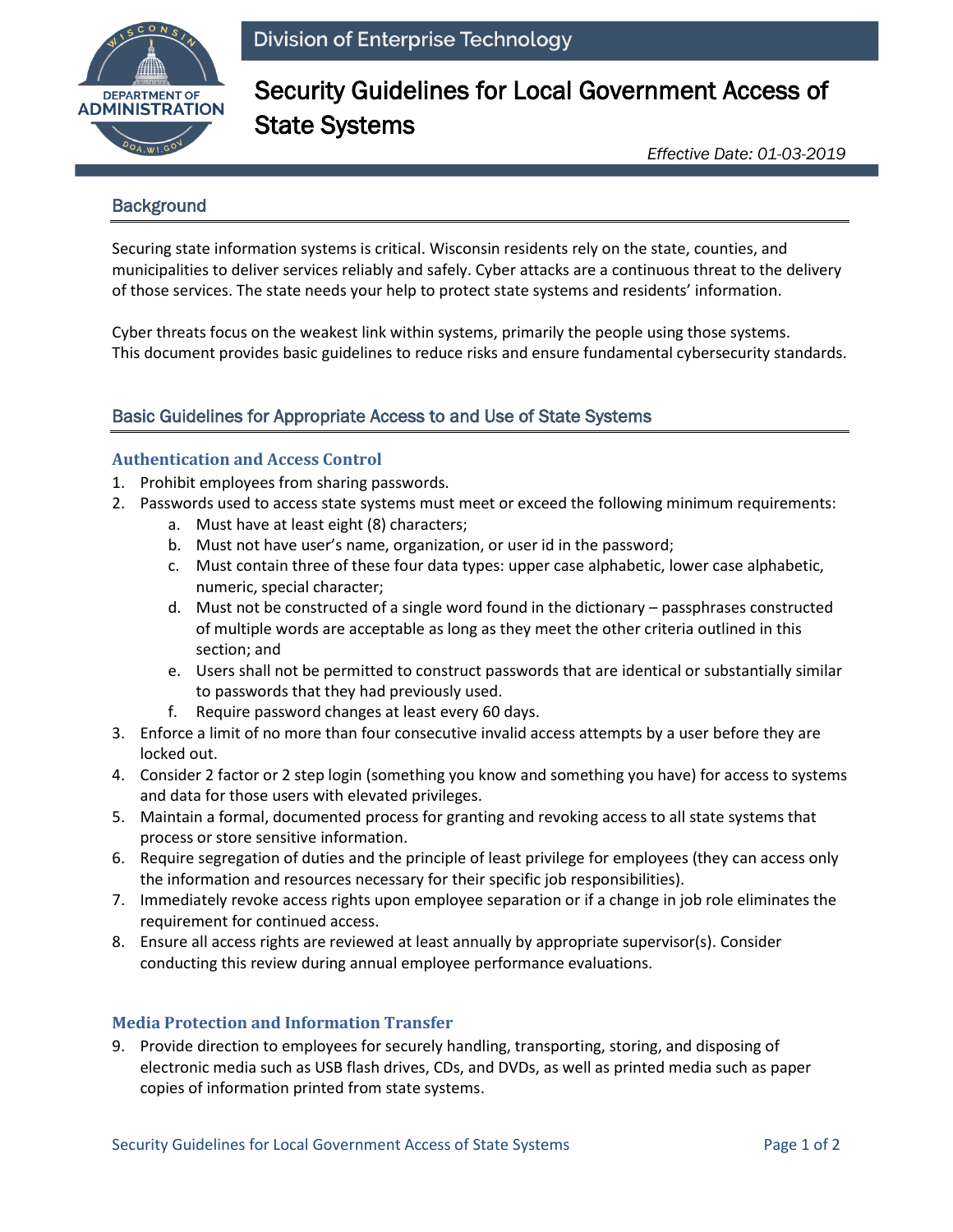

# Security Guidelines for Local Government Access of State Systems

*Effective Date: 01-03-2019*

## **Background**

Securing state information systems is critical. Wisconsin residents rely on the state, counties, and municipalities to deliver services reliably and safely. Cyber attacks are a continuous threat to the delivery of those services. The state needs your help to protect state systems and residents' information.

Cyber threats focus on the weakest link within systems, primarily the people using those systems. This document provides basic guidelines to reduce risks and ensure fundamental cybersecurity standards.

## Basic Guidelines for Appropriate Access to and Use of State Systems

### **Authentication and Access Control**

- 1. Prohibit employees from sharing passwords.
- 2. Passwords used to access state systems must meet or exceed the following minimum requirements:
	- a. Must have at least eight (8) characters;
	- b. Must not have user's name, organization, or user id in the password;
	- c. Must contain three of these four data types: upper case alphabetic, lower case alphabetic, numeric, special character;
	- d. Must not be constructed of a single word found in the dictionary passphrases constructed of multiple words are acceptable as long as they meet the other criteria outlined in this section; and
	- e. Users shall not be permitted to construct passwords that are identical or substantially similar to passwords that they had previously used.
	- f. Require password changes at least every 60 days.
- 3. Enforce a limit of no more than four consecutive invalid access attempts by a user before they are locked out.
- 4. Consider 2 factor or 2 step login (something you know and something you have) for access to systems and data for those users with elevated privileges.
- 5. Maintain a formal, documented process for granting and revoking access to all state systems that process or store sensitive information.
- 6. Require segregation of duties and the principle of least privilege for employees (they can access only the information and resources necessary for their specific job responsibilities).
- 7. Immediately revoke access rights upon employee separation or if a change in job role eliminates the requirement for continued access.
- 8. Ensure all access rights are reviewed at least annually by appropriate supervisor(s). Consider conducting this review during annual employee performance evaluations.

#### **Media Protection and Information Transfer**

9. Provide direction to employees for securely handling, transporting, storing, and disposing of electronic media such as USB flash drives, CDs, and DVDs, as well as printed media such as paper copies of information printed from state systems.